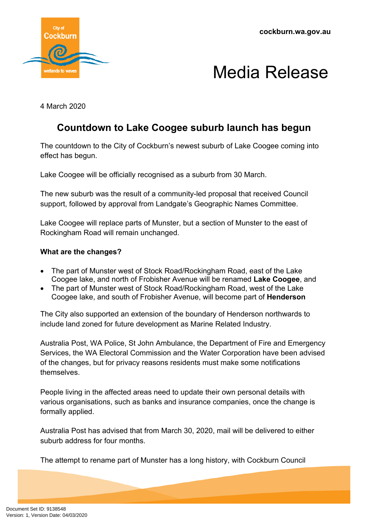**cockburn.wa.gov.au**



## Media Release

4 March 2020

## **Countdown to Lake Coogee suburb launch has begun**

The countdown to the City of Cockburn's newest suburb of Lake Coogee coming into effect has begun.

Lake Coogee will be officially recognised as a suburb from 30 March.

The new suburb was the result of a community-led proposal that received Council support, followed by approval from Landgate's Geographic Names Committee.

Lake Coogee will replace parts of Munster, but a section of Munster to the east of Rockingham Road will remain unchanged.

## **What are the changes?**

- The part of Munster west of Stock Road/Rockingham Road, east of the Lake Coogee lake, and north of Frobisher Avenue will be renamed **Lake Coogee**, and
- The part of Munster west of Stock Road/Rockingham Road, west of the Lake Coogee lake, and south of Frobisher Avenue, will become part of **Henderson**

The City also supported an extension of the boundary of Henderson northwards to include land zoned for future development as Marine Related Industry.

Australia Post, WA Police, St John Ambulance, the Department of Fire and Emergency Services, the WA Electoral Commission and the Water Corporation have been advised of the changes, but for privacy reasons residents must make some notifications themselves.

People living in the affected areas need to update their own personal details with various organisations, such as banks and insurance companies, once the change is formally applied.

Australia Post has advised that from March 30, 2020, mail will be delivered to either suburb address for four months.

The attempt to rename part of Munster has a long history, with Cockburn Council